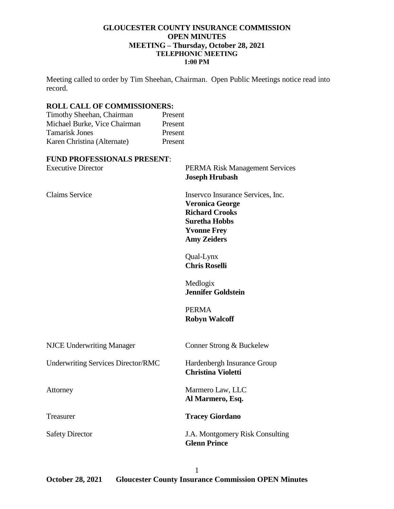## **GLOUCESTER COUNTY INSURANCE COMMISSION OPEN MINUTES MEETING – Thursday, October 28, 2021 TELEPHONIC MEETING 1:00 PM**

Meeting called to order by Tim Sheehan, Chairman. Open Public Meetings notice read into record.

## **ROLL CALL OF COMMISSIONERS:**

| Timothy Sheehan, Chairman    | Present |
|------------------------------|---------|
| Michael Burke, Vice Chairman | Present |
| <b>Tamarisk Jones</b>        | Present |
| Karen Christina (Alternate)  | Present |
|                              |         |

#### **FUND PROFESSIONALS PRESENT**:

| <b>Executive Director</b>                 | <b>PERMA Risk Management Services</b><br><b>Joseph Hrubash</b>                                                                                           |
|-------------------------------------------|----------------------------------------------------------------------------------------------------------------------------------------------------------|
| <b>Claims Service</b>                     | Inserveo Insurance Services, Inc.<br><b>Veronica George</b><br><b>Richard Crooks</b><br><b>Suretha Hobbs</b><br><b>Yvonne Frey</b><br><b>Amy Zeiders</b> |
|                                           | Qual-Lynx<br><b>Chris Roselli</b>                                                                                                                        |
|                                           | Medlogix<br><b>Jennifer Goldstein</b>                                                                                                                    |
|                                           | <b>PERMA</b><br><b>Robyn Walcoff</b>                                                                                                                     |
| <b>NJCE Underwriting Manager</b>          | Conner Strong & Buckelew                                                                                                                                 |
| <b>Underwriting Services Director/RMC</b> | Hardenbergh Insurance Group<br><b>Christina Violetti</b>                                                                                                 |
| Attorney                                  | Marmero Law, LLC<br>Al Marmero, Esq.                                                                                                                     |
| Treasurer                                 | <b>Tracey Giordano</b>                                                                                                                                   |
| <b>Safety Director</b>                    | J.A. Montgomery Risk Consulting<br><b>Glenn Prince</b>                                                                                                   |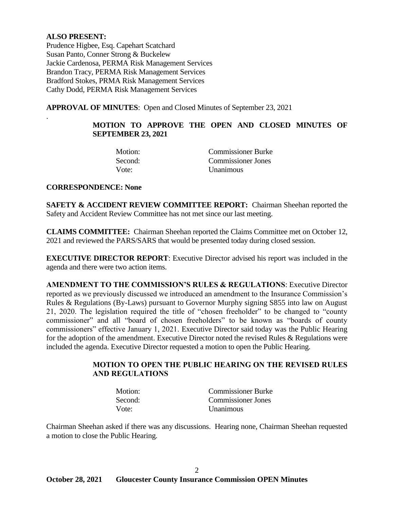# **ALSO PRESENT:**

.

Prudence Higbee, Esq. Capehart Scatchard Susan Panto, Conner Strong & Buckelew Jackie Cardenosa, PERMA Risk Management Services Brandon Tracy, PERMA Risk Management Services Bradford Stokes, PRMA Risk Management Services Cathy Dodd, PERMA Risk Management Services

**APPROVAL OF MINUTES**: Open and Closed Minutes of September 23, 2021

# **MOTION TO APPROVE THE OPEN AND CLOSED MINUTES OF SEPTEMBER 23, 2021**

| Motion: | <b>Commissioner Burke</b> |
|---------|---------------------------|
| Second: | Commissioner Jones        |
| Vote:   | <b>Unanimous</b>          |

#### **CORRESPONDENCE: None**

**SAFETY & ACCIDENT REVIEW COMMITTEE REPORT:** Chairman Sheehan reported the Safety and Accident Review Committee has not met since our last meeting.

**CLAIMS COMMITTEE:** Chairman Sheehan reported the Claims Committee met on October 12, 2021 and reviewed the PARS/SARS that would be presented today during closed session.

**EXECUTIVE DIRECTOR REPORT**: Executive Director advised his report was included in the agenda and there were two action items.

**AMENDMENT TO THE COMMISSION'S RULES & REGULATIONS**: Executive Director reported as we previously discussed we introduced an amendment to the Insurance Commission's Rules & Regulations (By-Laws) pursuant to Governor Murphy signing S855 into law on August 21, 2020. The legislation required the title of "chosen freeholder" to be changed to "county commissioner" and all "board of chosen freeholders" to be known as "boards of county commissioners" effective January 1, 2021. Executive Director said today was the Public Hearing for the adoption of the amendment. Executive Director noted the revised Rules & Regulations were included the agenda. Executive Director requested a motion to open the Public Hearing.

# **MOTION TO OPEN THE PUBLIC HEARING ON THE REVISED RULES AND REGULATIONS**

| Motion: | <b>Commissioner Burke</b> |
|---------|---------------------------|
| Second: | <b>Commissioner Jones</b> |
| Vote:   | <b>Unanimous</b>          |

Chairman Sheehan asked if there was any discussions. Hearing none, Chairman Sheehan requested a motion to close the Public Hearing.

2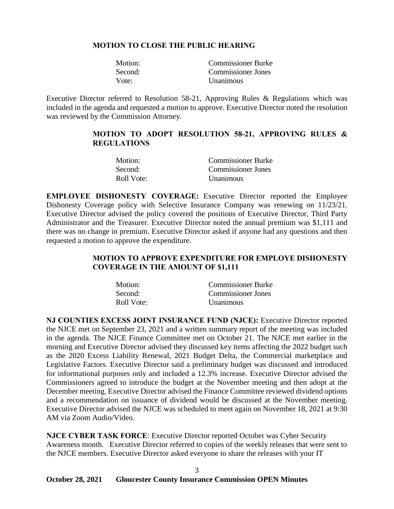## **MOTION TO CLOSE THE PUBLIC HEARING**

| Motion: | <b>Commissioner Burke</b> |
|---------|---------------------------|
| Second: | <b>Commissioner Jones</b> |
| Vote:   | <b>Unanimous</b>          |

Executive Director referred to Resolution 58-21, Approving Rules & Regulations which was included in the agenda and requested a motion to approve. Executive Director noted the resolution was reviewed by the Commission Attorney.

## **MOTION TO ADOPT RESOLUTION 58-21, APPROVING RULES & REGULATIONS**

| Motion:    | <b>Commissioner Burke</b> |
|------------|---------------------------|
| Second:    | Commissioner Jones        |
| Roll Vote: | Unanimous                 |

**EMPLOYEE DISHONESTY COVERAGE:** Executive Director reported the Employee Dishonesty Coverage policy with Selective Insurance Company was renewing on 11/23/21. Executive Director advised the policy covered the positions of Executive Director, Third Party Administrator and the Treasurer. Executive Director noted the annual premium was \$1,111 and there was no change in premium. Executive Director asked if anyone had any questions and then requested a motion to approve the expenditure.

# **MOTION TO APPROVE EXPENDITURE FOR EMPLOYE DISHONESTY COVERAGE IN THE AMOUNT OF \$1,111**

| Motion:    | <b>Commissioner Burke</b> |
|------------|---------------------------|
| Second:    | <b>Commissioner Jones</b> |
| Roll Vote: | <b>Unanimous</b>          |

**NJ COUNTIES EXCESS JOINT INSURANCE FUND (NJCE):** Executive Director reported the NJCE met on September 23, 2021 and a written summary report of the meeting was included in the agenda. The NJCE Finance Committee met on October 21. The NJCE met earlier in the morning and Executive Director advised they discussed key items affecting the 2022 budget such as the 2020 Excess Liability Renewal, 2021 Budget Delta, the Commercial marketplace and Legislative Factors. Executive Director said a preliminary budget was discussed and introduced for informational purposes only and included a 12.3% increase. Executive Director advised the Commissioners agreed to introduce the budget at the November meeting and then adopt at the December meeting. Executive Director advised the Finance Committee reviewed dividend options and a recommendation on issuance of dividend would be discussed at the November meeting. Executive Director advised the NJCE was scheduled to meet again on November 18, 2021 at 9:30 AM via Zoom Audio/Video.

**NJCE CYBER TASK FORCE**: Executive Director reported October was Cyber Security Awareness month. Executive Director referred to copies of the weekly releases that were sent to the NJCE members. Executive Director asked everyone to share the releases with your IT

3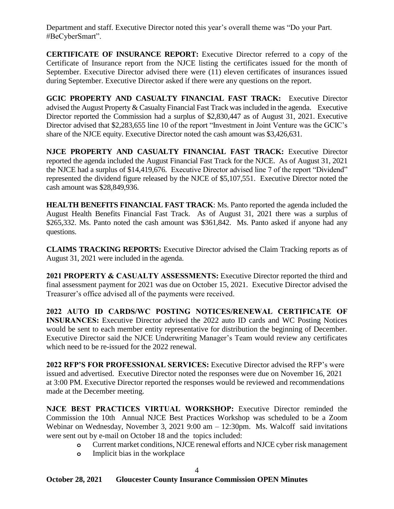Department and staff. Executive Director noted this year's overall theme was "Do your Part. #BeCyberSmart".

**CERTIFICATE OF INSURANCE REPORT:** Executive Director referred to a copy of the Certificate of Insurance report from the NJCE listing the certificates issued for the month of September. Executive Director advised there were (11) eleven certificates of insurances issued during September. Executive Director asked if there were any questions on the report.

**GCIC PROPERTY AND CASUALTY FINANCIAL FAST TRACK:** Executive Director advised the August Property & Casualty Financial Fast Track wasincluded in the agenda. Executive Director reported the Commission had a surplus of \$2,830,447 as of August 31, 2021. Executive Director advised that \$2,283,655 line 10 of the report "Investment in Joint Venture was the GCIC's share of the NJCE equity. Executive Director noted the cash amount was \$3,426,631.

**NJCE PROPERTY AND CASUALTY FINANCIAL FAST TRACK:** Executive Director reported the agenda included the August Financial Fast Track for the NJCE. As of August 31, 2021 the NJCE had a surplus of \$14,419,676. Executive Director advised line 7 of the report "Dividend" represented the dividend figure released by the NJCE of \$5,107,551. Executive Director noted the cash amount was \$28,849,936.

**HEALTH BENEFITS FINANCIAL FAST TRACK**: Ms. Panto reported the agenda included the August Health Benefits Financial Fast Track. As of August 31, 2021 there was a surplus of \$265,332. Ms. Panto noted the cash amount was \$361,842. Ms. Panto asked if anyone had any questions.

**CLAIMS TRACKING REPORTS:** Executive Director advised the Claim Tracking reports as of August 31, 2021 were included in the agenda.

**2021 PROPERTY & CASUALTY ASSESSMENTS:** Executive Director reported the third and final assessment payment for 2021 was due on October 15, 2021. Executive Director advised the Treasurer's office advised all of the payments were received.

**2022 AUTO ID CARDS/WC POSTING NOTICES/RENEWAL CERTIFICATE OF INSURANCES:** Executive Director advised the 2022 auto ID cards and WC Posting Notices would be sent to each member entity representative for distribution the beginning of December. Executive Director said the NJCE Underwriting Manager's Team would review any certificates which need to be re-issued for the 2022 renewal.

**2022 RFP'S FOR PROFESSIONAL SERVICES:** Executive Director advised the RFP's were issued and advertised. Executive Director noted the responses were due on November 16, 2021 at 3:00 PM. Executive Director reported the responses would be reviewed and recommendations made at the December meeting.

**NJCE BEST PRACTICES VIRTUAL WORKSHOP:** Executive Director reminded the Commission the 10th Annual NJCE Best Practices Workshop was scheduled to be a Zoom Webinar on Wednesday, November 3, 2021 9:00 am - 12:30pm. Ms. Walcoff said invitations were sent out by e-mail on October 18 and the topics included:

- **o** Current market conditions, NJCE renewal efforts and NJCE cyber risk management
- **o** Implicit bias in the workplace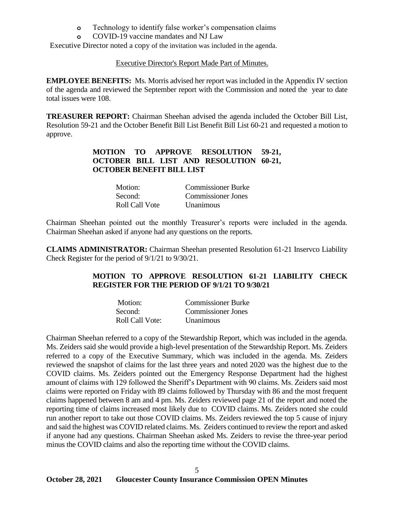- **o** Technology to identify false worker's compensation claims
- **o** COVID-19 vaccine mandates and NJ Law

Executive Director noted a copy of the invitation was included in the agenda.

#### Executive Director's Report Made Part of Minutes.

**EMPLOYEE BENEFITS:** Ms. Morris advised her report was included in the Appendix IV section of the agenda and reviewed the September report with the Commission and noted the year to date total issues were 108.

**TREASURER REPORT:** Chairman Sheehan advised the agenda included the October Bill List, Resolution 59-21 and the October Benefit Bill List Benefit Bill List 60-21 and requested a motion to approve.

# **MOTION TO APPROVE RESOLUTION 59-21, OCTOBER BILL LIST AND RESOLUTION 60-21, OCTOBER BENEFIT BILL LIST**

| Motion:        | <b>Commissioner Burke</b> |
|----------------|---------------------------|
| Second:        | <b>Commissioner Jones</b> |
| Roll Call Vote | <b>Unanimous</b>          |

Chairman Sheehan pointed out the monthly Treasurer's reports were included in the agenda. Chairman Sheehan asked if anyone had any questions on the reports.

**CLAIMS ADMINISTRATOR:** Chairman Sheehan presented Resolution 61-21 Inservco Liability Check Register for the period of 9/1/21 to 9/30/21.

# **MOTION TO APPROVE RESOLUTION 61-21 LIABILITY CHECK REGISTER FOR THE PERIOD OF 9/1/21 TO 9/30/21**

| Motion:         | <b>Commissioner Burke</b> |
|-----------------|---------------------------|
| Second:         | Commissioner Jones        |
| Roll Call Vote: | <b>Unanimous</b>          |

Chairman Sheehan referred to a copy of the Stewardship Report, which was included in the agenda. Ms. Zeiders said she would provide a high-level presentation of the Stewardship Report. Ms. Zeiders referred to a copy of the Executive Summary, which was included in the agenda. Ms. Zeiders reviewed the snapshot of claims for the last three years and noted 2020 was the highest due to the COVID claims. Ms. Zeiders pointed out the Emergency Response Department had the highest amount of claims with 129 followed the Sheriff's Department with 90 claims. Ms. Zeiders said most claims were reported on Friday with 89 claims followed by Thursday with 86 and the most frequent claims happened between 8 am and 4 pm. Ms. Zeiders reviewed page 21 of the report and noted the reporting time of claims increased most likely due to COVID claims. Ms. Zeiders noted she could run another report to take out those COVID claims. Ms. Zeiders reviewed the top 5 cause of injury and said the highest was COVID related claims. Ms. Zeiders continued to review the report and asked if anyone had any questions. Chairman Sheehan asked Ms. Zeiders to revise the three-year period minus the COVID claims and also the reporting time without the COVID claims.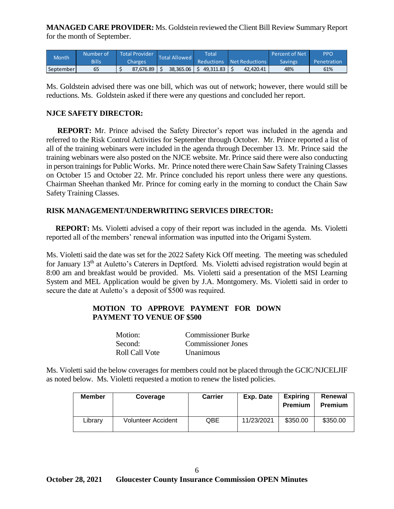**MANAGED CARE PROVIDER:** Ms. Goldstein reviewed the Client Bill Review Summary Report for the month of September.

| <b>Month</b> | Number of | <b>Total Provider</b> | Total Allowed | Total     |                           | Percent of Net | PPO         |
|--------------|-----------|-----------------------|---------------|-----------|---------------------------|----------------|-------------|
|              | Bills     | Charges               |               |           | Reductions Net Reductions | Savings        | Penetration |
| September    | 65        | 87.676.89             | 38.365.06     | 49.311.83 | 42.420.41                 | 48%            | 61%         |

Ms. Goldstein advised there was one bill, which was out of network; however, there would still be reductions. Ms. Goldstein asked if there were any questions and concluded her report.

## **NJCE SAFETY DIRECTOR:**

 **REPORT:** Mr. Prince advised the Safety Director's report was included in the agenda and referred to the Risk Control Activities for September through October. Mr. Prince reported a list of all of the training webinars were included in the agenda through December 13. Mr. Prince said the training webinars were also posted on the NJCE website. Mr. Prince said there were also conducting in person trainings for Public Works. Mr. Prince noted there were Chain Saw Safety Training Classes on October 15 and October 22. Mr. Prince concluded his report unless there were any questions. Chairman Sheehan thanked Mr. Prince for coming early in the morning to conduct the Chain Saw Safety Training Classes.

#### **RISK MANAGEMENT/UNDERWRITING SERVICES DIRECTOR:**

 **REPORT:** Ms. Violetti advised a copy of their report was included in the agenda. Ms. Violetti reported all of the members' renewal information was inputted into the Origami System.

Ms. Violetti said the date was set for the 2022 Safety Kick Off meeting. The meeting was scheduled for January 13<sup>th</sup> at Auletto's Caterers in Deptford. Ms. Violetti advised registration would begin at 8:00 am and breakfast would be provided. Ms. Violetti said a presentation of the MSI Learning System and MEL Application would be given by J.A. Montgomery. Ms. Violetti said in order to secure the date at Auletto's a deposit of \$500 was required.

## **MOTION TO APPROVE PAYMENT FOR DOWN PAYMENT TO VENUE OF \$500**

| Motion:        | <b>Commissioner Burke</b> |
|----------------|---------------------------|
| Second:        | Commissioner Jones        |
| Roll Call Vote | <b>Unanimous</b>          |

Ms. Violetti said the below coverages for members could not be placed through the GCIC/NJCELJIF as noted below. Ms. Violetti requested a motion to renew the listed policies.

| Member  | Coverage                  | <b>Carrier</b> | Exp. Date  | <b>Expiring</b><br>Premium | Renewal<br><b>Premium</b> |
|---------|---------------------------|----------------|------------|----------------------------|---------------------------|
| ∟ibrary | <b>Volunteer Accident</b> | QBE            | 11/23/2021 | \$350.00                   | \$350.00                  |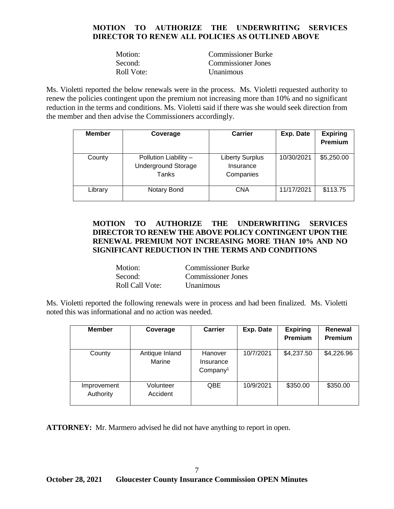# **MOTION TO AUTHORIZE THE UNDERWRITING SERVICES DIRECTOR TO RENEW ALL POLICIES AS OUTLINED ABOVE**

| Motion:    | <b>Commissioner Burke</b> |
|------------|---------------------------|
| Second:    | <b>Commissioner Jones</b> |
| Roll Vote: | <b>Unanimous</b>          |

Ms. Violetti reported the below renewals were in the process. Ms. Violetti requested authority to renew the policies contingent upon the premium not increasing more than 10% and no significant reduction in the terms and conditions. Ms. Violetti said if there was she would seek direction from the member and then advise the Commissioners accordingly.

| <b>Member</b> | Coverage                                                     | Carrier                                          | Exp. Date  | <b>Expiring</b><br>Premium |
|---------------|--------------------------------------------------------------|--------------------------------------------------|------------|----------------------------|
| County        | Pollution Liability -<br><b>Underground Storage</b><br>Tanks | <b>Liberty Surplus</b><br>Insurance<br>Companies | 10/30/2021 | \$5,250.00                 |
| Library       | Notary Bond                                                  | <b>CNA</b>                                       | 11/17/2021 | \$113.75                   |

# **MOTION TO AUTHORIZE THE UNDERWRITING SERVICES DIRECTOR TO RENEW THE ABOVE POLICY CONTINGENT UPON THE RENEWAL PREMIUM NOT INCREASING MORE THAN 10% AND NO SIGNIFICANT REDUCTION IN THE TERMS AND CONDITIONS**

| Motion:         | <b>Commissioner Burke</b> |
|-----------------|---------------------------|
| Second:         | <b>Commissioner Jones</b> |
| Roll Call Vote: | Unanimous                 |

Ms. Violetti reported the following renewals were in process and had been finalized. Ms. Violetti noted this was informational and no action was needed.

| <b>Member</b>            | Coverage                 | Carrier                                      | Exp. Date | <b>Expiring</b><br><b>Premium</b> | Renewal<br><b>Premium</b> |
|--------------------------|--------------------------|----------------------------------------------|-----------|-----------------------------------|---------------------------|
| County                   | Antique Inland<br>Marine | Hanover<br>Insurance<br>Company <sup>1</sup> | 10/7/2021 | \$4,237.50                        | \$4,226.96                |
| Improvement<br>Authority | Volunteer<br>Accident    | <b>QBE</b>                                   | 10/9/2021 | \$350.00                          | \$350.00                  |

**ATTORNEY:** Mr. Marmero advised he did not have anything to report in open.

7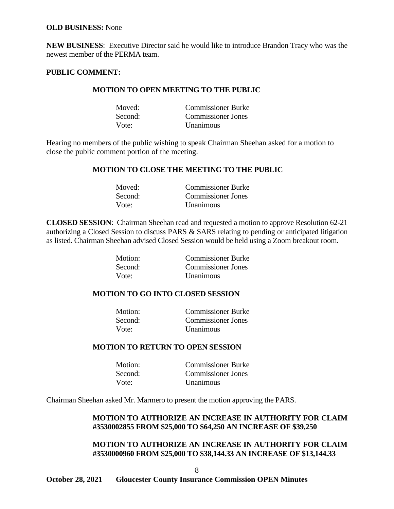#### **OLD BUSINESS:** None

**NEW BUSINESS**: Executive Director said he would like to introduce Brandon Tracy who was the newest member of the PERMA team.

## **PUBLIC COMMENT:**

## **MOTION TO OPEN MEETING TO THE PUBLIC**

| Moved:  | <b>Commissioner Burke</b> |
|---------|---------------------------|
| Second: | <b>Commissioner Jones</b> |
| Vote:   | <b>Unanimous</b>          |

Hearing no members of the public wishing to speak Chairman Sheehan asked for a motion to close the public comment portion of the meeting.

#### **MOTION TO CLOSE THE MEETING TO THE PUBLIC**

| Moved:  | <b>Commissioner Burke</b> |
|---------|---------------------------|
| Second: | Commissioner Jones        |
| Vote:   | <b>Unanimous</b>          |

**CLOSED SESSION**: Chairman Sheehan read and requested a motion to approve Resolution 62-21 authorizing a Closed Session to discuss PARS & SARS relating to pending or anticipated litigation as listed. Chairman Sheehan advised Closed Session would be held using a Zoom breakout room.

| Motion: | <b>Commissioner Burke</b> |
|---------|---------------------------|
| Second: | <b>Commissioner Jones</b> |
| Vote:   | <b>Unanimous</b>          |

#### **MOTION TO GO INTO CLOSED SESSION**

| Motion: | <b>Commissioner Burke</b> |
|---------|---------------------------|
| Second: | Commissioner Jones        |
| Vote:   | <b>Unanimous</b>          |

#### **MOTION TO RETURN TO OPEN SESSION**

| Motion: | <b>Commissioner Burke</b> |
|---------|---------------------------|
| Second: | <b>Commissioner Jones</b> |
| Vote:   | <i>Unanimous</i>          |

Chairman Sheehan asked Mr. Marmero to present the motion approving the PARS.

## **MOTION TO AUTHORIZE AN INCREASE IN AUTHORITY FOR CLAIM #3530002855 FROM \$25,000 TO \$64,250 AN INCREASE OF \$39,250**

#### **MOTION TO AUTHORIZE AN INCREASE IN AUTHORITY FOR CLAIM #3530000960 FROM \$25,000 TO \$38,144.33 AN INCREASE OF \$13,144.33**

8

**October 28, 2021 Gloucester County Insurance Commission OPEN Minutes**